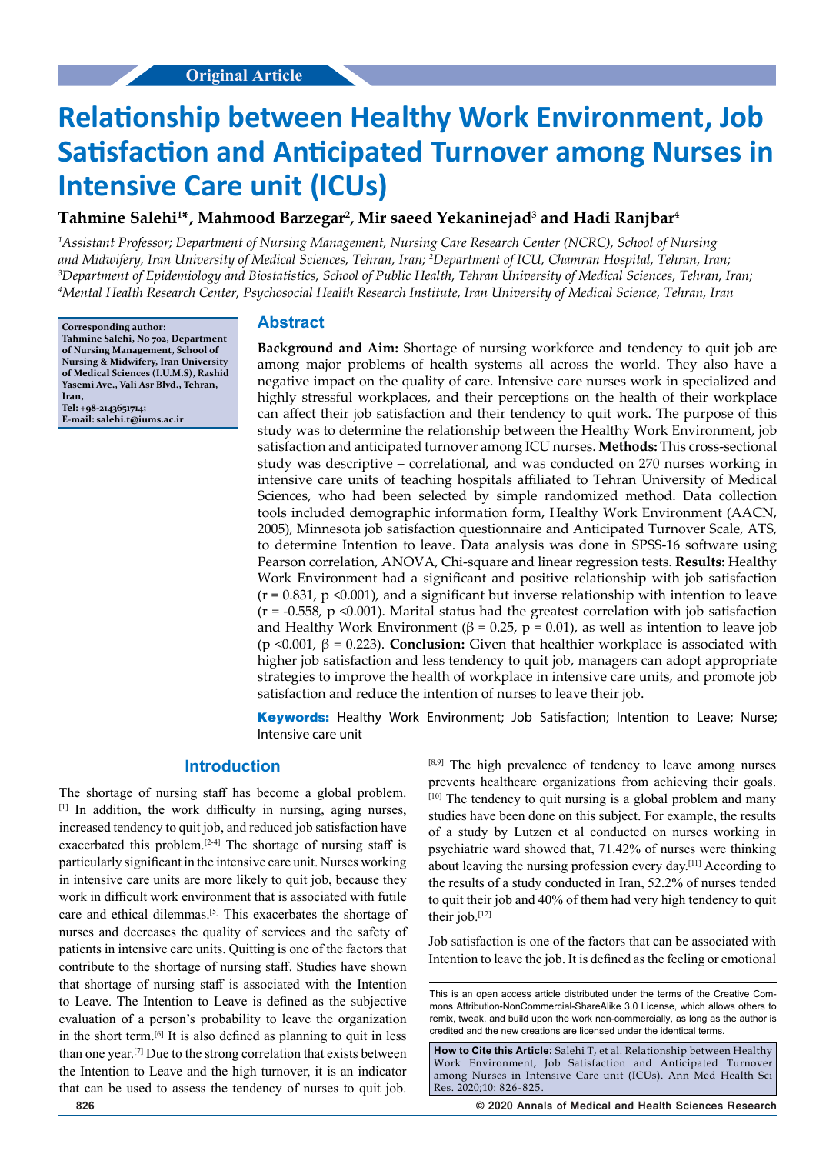# **Relationship between Healthy Work Environment, Job Satisfaction and Anticipated Turnover among Nurses in Intensive Care unit (ICUs)**

# **Tahmine Salehi1 \*, Mahmood Barzegar2 , Mir saeed Yekaninejad3 and Hadi Ranjbar4**

*1 Assistant Professor; Department of Nursing Management, Nursing Care Research Center (NCRC), School of Nursing*  and Midwifery, Iran University of Medical Sciences, Tehran, Iran; <sup>2</sup>Department of ICU, Chamran Hospital, Tehran, Iran;<br><sup>3</sup>Department of Enidemiology and Biostatistics, School of Public Health, Tehran University of Medical *Department of Epidemiology and Biostatistics, School of Public Health, Tehran University of Medical Sciences, Tehran, Iran; 4 Mental Health Research Center, Psychosocial Health Research Institute, Iran University of Medical Science, Tehran, Iran*

**Corresponding author: Tahmine Salehi, No 702, Department of Nursing Management, School of Nursing & Midwifery, Iran University of Medical Sciences (I.U.M.S), Rashid Yasemi Ave., Vali Asr Blvd., Tehran, Iran, Tel: +98-2143651714; E-mail: salehi.t@iums.ac.ir**

#### **Abstract**

**Background and Aim:** Shortage of nursing workforce and tendency to quit job are among major problems of health systems all across the world. They also have a negative impact on the quality of care. Intensive care nurses work in specialized and highly stressful workplaces, and their perceptions on the health of their workplace can affect their job satisfaction and their tendency to quit work. The purpose of this study was to determine the relationship between the Healthy Work Environment, job satisfaction and anticipated turnover among ICU nurses. **Methods:** This cross-sectional study was descriptive – correlational, and was conducted on 270 nurses working in intensive care units of teaching hospitals affiliated to Tehran University of Medical Sciences, who had been selected by simple randomized method. Data collection tools included demographic information form, Healthy Work Environment (AACN, 2005), Minnesota job satisfaction questionnaire and Anticipated Turnover Scale, ATS, to determine Intention to leave. Data analysis was done in SPSS-16 software using Pearson correlation, ANOVA, Chi-square and linear regression tests. **Results:** Healthy Work Environment had a significant and positive relationship with job satisfaction  $(r = 0.831, p \le 0.001)$ , and a significant but inverse relationship with intention to leave  $(r = -0.558, p \le 0.001)$ . Marital status had the greatest correlation with job satisfaction and Healthy Work Environment (β = 0.25, p = 0.01), as well as intention to leave job (p  $\leq 0.001$ ,  $\beta = 0.223$ ). **Conclusion:** Given that healthier workplace is associated with higher job satisfaction and less tendency to quit job, managers can adopt appropriate strategies to improve the health of workplace in intensive care units, and promote job satisfaction and reduce the intention of nurses to leave their job.

**Keywords:** Healthy Work Environment; Job Satisfaction; Intention to Leave; Nurse; Intensive care unit

## **Introduction**

The shortage of nursing staff has become a global problem. [1] In addition, the work difficulty in nursing, aging nurses, increased tendency to quit job, and reduced job satisfaction have exacerbated this problem.<sup>[2-4]</sup> The shortage of nursing staff is particularly significant in the intensive care unit. Nurses working in intensive care units are more likely to quit job, because they work in difficult work environment that is associated with futile care and ethical dilemmas.[5] This exacerbates the shortage of nurses and decreases the quality of services and the safety of patients in intensive care units. Quitting is one of the factors that contribute to the shortage of nursing staff. Studies have shown that shortage of nursing staff is associated with the Intention to Leave. The Intention to Leave is defined as the subjective evaluation of a person's probability to leave the organization in the short term.[6] It is also defined as planning to quit in less than one year.[7] Due to the strong correlation that exists between the Intention to Leave and the high turnover, it is an indicator that can be used to assess the tendency of nurses to quit job. [8,9] The high prevalence of tendency to leave among nurses prevents healthcare organizations from achieving their goals. [10] The tendency to quit nursing is a global problem and many studies have been done on this subject. For example, the results of a study by Lutzen et al conducted on nurses working in psychiatric ward showed that, 71.42% of nurses were thinking about leaving the nursing profession every day.[11] According to the results of a study conducted in Iran, 52.2% of nurses tended to quit their job and 40% of them had very high tendency to quit their job.<sup>[12]</sup>

Job satisfaction is one of the factors that can be associated with Intention to leave the job. It is defined as the feeling or emotional

**How to Cite this Article:** Salehi T, et al. Relationship between Healthy Work Environment, Job Satisfaction and Anticipated Turnover among Nurses in Intensive Care unit (ICUs). Ann Med Health Sci Res. 2020;10: 826-825.

**826 © 2020 Annals of Medical and Health Sciences Research** 

This is an open access article distributed under the terms of the Creative Commons Attribution‑NonCommercial‑ShareAlike 3.0 License, which allows others to remix, tweak, and build upon the work non‑commercially, as long as the author is credited and the new creations are licensed under the identical terms.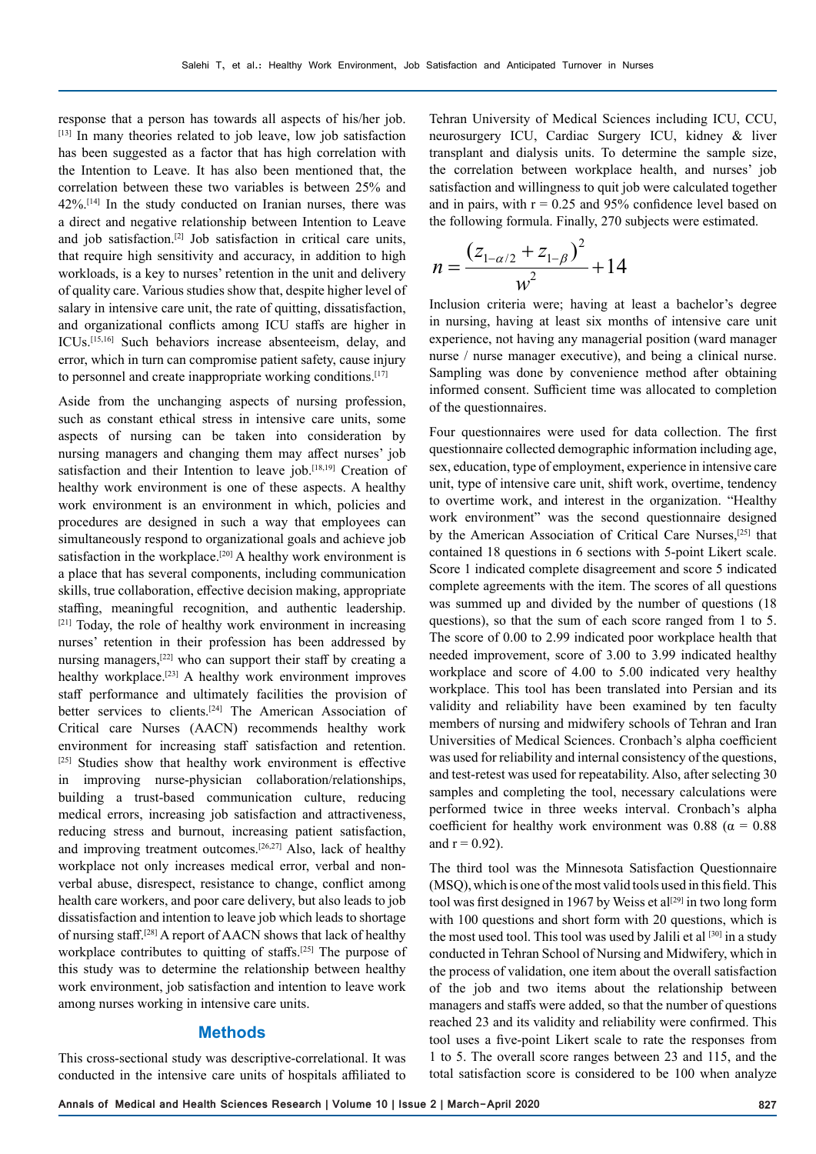response that a person has towards all aspects of his/her job. [13] In many theories related to job leave, low job satisfaction has been suggested as a factor that has high correlation with the Intention to Leave. It has also been mentioned that, the correlation between these two variables is between 25% and 42%.[14] In the study conducted on Iranian nurses, there was a direct and negative relationship between Intention to Leave and job satisfaction.[2] Job satisfaction in critical care units, that require high sensitivity and accuracy, in addition to high workloads, is a key to nurses' retention in the unit and delivery of quality care. Various studies show that, despite higher level of salary in intensive care unit, the rate of quitting, dissatisfaction, and organizational conflicts among ICU staffs are higher in ICUs.[15,16] Such behaviors increase absenteeism, delay, and error, which in turn can compromise patient safety, cause injury to personnel and create inappropriate working conditions.<sup>[17]</sup>

Aside from the unchanging aspects of nursing profession, such as constant ethical stress in intensive care units, some aspects of nursing can be taken into consideration by nursing managers and changing them may affect nurses' job satisfaction and their Intention to leave job.<sup>[18,19]</sup> Creation of healthy work environment is one of these aspects. A healthy work environment is an environment in which, policies and procedures are designed in such a way that employees can simultaneously respond to organizational goals and achieve job satisfaction in the workplace.<sup>[20]</sup> A healthy work environment is a place that has several components, including communication skills, true collaboration, effective decision making, appropriate staffing, meaningful recognition, and authentic leadership. [21] Today, the role of healthy work environment in increasing nurses' retention in their profession has been addressed by nursing managers,[22] who can support their staff by creating a healthy workplace.<sup>[23]</sup> A healthy work environment improves staff performance and ultimately facilities the provision of better services to clients.[24] The American Association of Critical care Nurses (AACN) recommends healthy work environment for increasing staff satisfaction and retention. [25] Studies show that healthy work environment is effective in improving nurse-physician collaboration/relationships, building a trust-based communication culture, reducing medical errors, increasing job satisfaction and attractiveness, reducing stress and burnout, increasing patient satisfaction, and improving treatment outcomes.[26,27] Also, lack of healthy workplace not only increases medical error, verbal and nonverbal abuse, disrespect, resistance to change, conflict among health care workers, and poor care delivery, but also leads to job dissatisfaction and intention to leave job which leads to shortage of nursing staff.[28] A report of AACN shows that lack of healthy workplace contributes to quitting of staffs.<sup>[25]</sup> The purpose of this study was to determine the relationship between healthy work environment, job satisfaction and intention to leave work among nurses working in intensive care units.

#### **Methods**

This cross-sectional study was descriptive-correlational. It was conducted in the intensive care units of hospitals affiliated to

Tehran University of Medical Sciences including ICU, CCU, neurosurgery ICU, Cardiac Surgery ICU, kidney & liver transplant and dialysis units. To determine the sample size, the correlation between workplace health, and nurses' job satisfaction and willingness to quit job were calculated together and in pairs, with  $r = 0.25$  and 95% confidence level based on the following formula. Finally, 270 subjects were estimated.

$$
n = \frac{(z_{1-\alpha/2} + z_{1-\beta})^2}{w^2} + 14
$$

Inclusion criteria were; having at least a bachelor's degree in nursing, having at least six months of intensive care unit experience, not having any managerial position (ward manager nurse / nurse manager executive), and being a clinical nurse. Sampling was done by convenience method after obtaining informed consent. Sufficient time was allocated to completion of the questionnaires.

Four questionnaires were used for data collection. The first questionnaire collected demographic information including age, sex, education, type of employment, experience in intensive care unit, type of intensive care unit, shift work, overtime, tendency to overtime work, and interest in the organization. "Healthy work environment" was the second questionnaire designed by the American Association of Critical Care Nurses,[25] that contained 18 questions in 6 sections with 5-point Likert scale. Score 1 indicated complete disagreement and score 5 indicated complete agreements with the item. The scores of all questions was summed up and divided by the number of questions (18 questions), so that the sum of each score ranged from 1 to 5. The score of 0.00 to 2.99 indicated poor workplace health that needed improvement, score of 3.00 to 3.99 indicated healthy workplace and score of 4.00 to 5.00 indicated very healthy workplace. This tool has been translated into Persian and its validity and reliability have been examined by ten faculty members of nursing and midwifery schools of Tehran and Iran Universities of Medical Sciences. Cronbach's alpha coefficient was used for reliability and internal consistency of the questions, and test-retest was used for repeatability. Also, after selecting 30 samples and completing the tool, necessary calculations were performed twice in three weeks interval. Cronbach's alpha coefficient for healthy work environment was 0.88 ( $\alpha$  = 0.88 and  $r = 0.92$ ).

The third tool was the Minnesota Satisfaction Questionnaire (MSQ), which is one of the most valid tools used in this field. This tool was first designed in 1967 by Weiss et al<sup>[29]</sup> in two long form with 100 questions and short form with 20 questions, which is the most used tool. This tool was used by Jalili et al [30] in a study conducted in Tehran School of Nursing and Midwifery, which in the process of validation, one item about the overall satisfaction of the job and two items about the relationship between managers and staffs were added, so that the number of questions reached 23 and its validity and reliability were confirmed. This tool uses a five-point Likert scale to rate the responses from 1 to 5. The overall score ranges between 23 and 115, and the total satisfaction score is considered to be 100 when analyze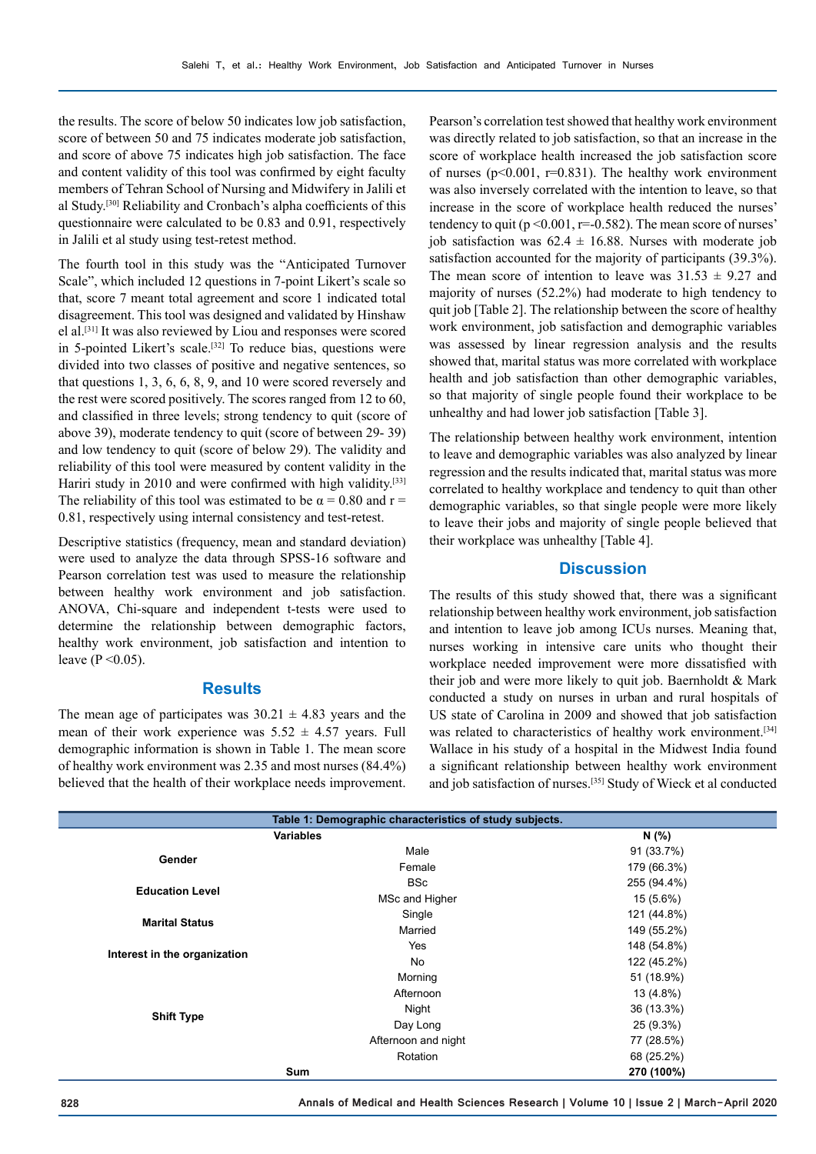the results. The score of below 50 indicates low job satisfaction, score of between 50 and 75 indicates moderate job satisfaction, and score of above 75 indicates high job satisfaction. The face and content validity of this tool was confirmed by eight faculty members of Tehran School of Nursing and Midwifery in Jalili et al Study.[30] Reliability and Cronbach's alpha coefficients of this questionnaire were calculated to be 0.83 and 0.91, respectively in Jalili et al study using test-retest method.

The fourth tool in this study was the "Anticipated Turnover Scale", which included 12 questions in 7-point Likert's scale so that, score 7 meant total agreement and score 1 indicated total disagreement. This tool was designed and validated by Hinshaw el al.[31] It was also reviewed by Liou and responses were scored in 5-pointed Likert's scale.<sup>[32]</sup> To reduce bias, questions were divided into two classes of positive and negative sentences, so that questions 1, 3, 6, 6, 8, 9, and 10 were scored reversely and the rest were scored positively. The scores ranged from 12 to 60, and classified in three levels; strong tendency to quit (score of above 39), moderate tendency to quit (score of between 29- 39) and low tendency to quit (score of below 29). The validity and reliability of this tool were measured by content validity in the Hariri study in 2010 and were confirmed with high validity.<sup>[33]</sup> The reliability of this tool was estimated to be  $\alpha = 0.80$  and  $r =$ 0.81, respectively using internal consistency and test-retest.

Descriptive statistics (frequency, mean and standard deviation) were used to analyze the data through SPSS-16 software and Pearson correlation test was used to measure the relationship between healthy work environment and job satisfaction. ANOVA, Chi-square and independent t-tests were used to determine the relationship between demographic factors, healthy work environment, job satisfaction and intention to leave ( $P < 0.05$ ).

#### **Results**

The mean age of participates was  $30.21 \pm 4.83$  years and the mean of their work experience was  $5.52 \pm 4.57$  years. Full demographic information is shown in Table 1. The mean score of healthy work environment was 2.35 and most nurses (84.4%) believed that the health of their workplace needs improvement.

Pearson's correlation test showed that healthy work environment was directly related to job satisfaction, so that an increase in the score of workplace health increased the job satisfaction score of nurses ( $p$ <0.001,  $r$ =0.831). The healthy work environment was also inversely correlated with the intention to leave, so that increase in the score of workplace health reduced the nurses' tendency to quit ( $p \le 0.001$ ,  $r = -0.582$ ). The mean score of nurses' job satisfaction was  $62.4 \pm 16.88$ . Nurses with moderate job satisfaction accounted for the majority of participants (39.3%). The mean score of intention to leave was  $31.53 \pm 9.27$  and majority of nurses (52.2%) had moderate to high tendency to quit job [Table 2]. The relationship between the score of healthy work environment, job satisfaction and demographic variables was assessed by linear regression analysis and the results showed that, marital status was more correlated with workplace health and job satisfaction than other demographic variables, so that majority of single people found their workplace to be unhealthy and had lower job satisfaction [Table 3].

The relationship between healthy work environment, intention to leave and demographic variables was also analyzed by linear regression and the results indicated that, marital status was more correlated to healthy workplace and tendency to quit than other demographic variables, so that single people were more likely to leave their jobs and majority of single people believed that their workplace was unhealthy [Table 4].

#### **Discussion**

The results of this study showed that, there was a significant relationship between healthy work environment, job satisfaction and intention to leave job among ICUs nurses. Meaning that, nurses working in intensive care units who thought their workplace needed improvement were more dissatisfied with their job and were more likely to quit job. Baernholdt & Mark conducted a study on nurses in urban and rural hospitals of US state of Carolina in 2009 and showed that job satisfaction was related to characteristics of healthy work environment.<sup>[34]</sup> Wallace in his study of a hospital in the Midwest India found a significant relationship between healthy work environment and job satisfaction of nurses.[35] Study of Wieck et al conducted

| Table 1: Demographic characteristics of study subjects. |                     |             |  |  |  |  |
|---------------------------------------------------------|---------------------|-------------|--|--|--|--|
| <b>Variables</b>                                        | N (%)               |             |  |  |  |  |
| Gender                                                  | Male                | 91 (33.7%)  |  |  |  |  |
|                                                         | Female              | 179 (66.3%) |  |  |  |  |
| <b>Education Level</b>                                  | <b>BSc</b>          | 255 (94.4%) |  |  |  |  |
|                                                         | MSc and Higher      | 15 (5.6%)   |  |  |  |  |
|                                                         | Single              | 121 (44.8%) |  |  |  |  |
| <b>Marital Status</b>                                   | Married             | 149 (55.2%) |  |  |  |  |
|                                                         | Yes                 | 148 (54.8%) |  |  |  |  |
| Interest in the organization                            | No.                 | 122 (45.2%) |  |  |  |  |
|                                                         | Morning             | 51 (18.9%)  |  |  |  |  |
|                                                         | Afternoon           | 13 (4.8%)   |  |  |  |  |
|                                                         | Night               | 36 (13.3%)  |  |  |  |  |
| <b>Shift Type</b>                                       | Day Long            | 25 (9.3%)   |  |  |  |  |
|                                                         | Afternoon and night | 77 (28.5%)  |  |  |  |  |
|                                                         | Rotation            | 68 (25.2%)  |  |  |  |  |
| Sum                                                     |                     | 270 (100%)  |  |  |  |  |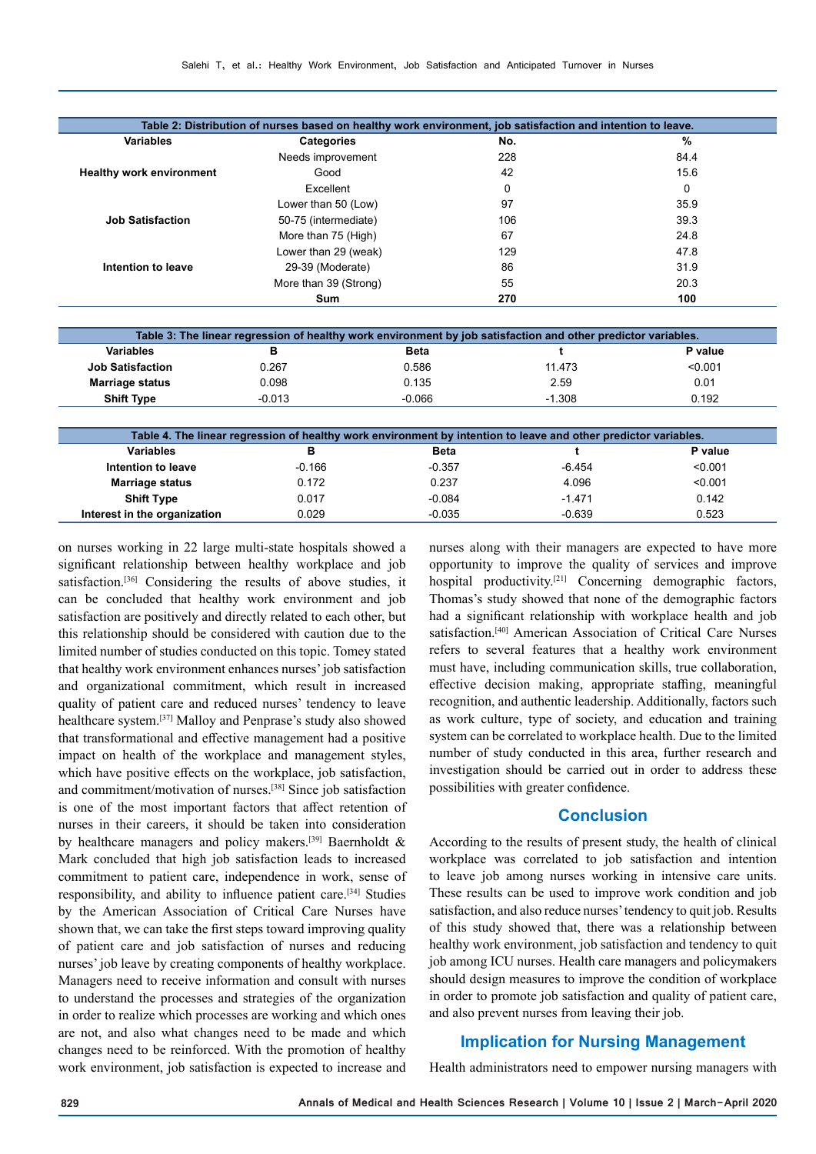| Variables                       | <b>Categories</b>     | No.      | $\frac{9}{6}$ |
|---------------------------------|-----------------------|----------|---------------|
|                                 | Needs improvement     | 228      | 84.4          |
| <b>Healthy work environment</b> | Good                  | 42       | 15.6          |
|                                 | Excellent             | $\Omega$ | 0             |
|                                 | Lower than 50 (Low)   | 97       | 35.9          |
| <b>Job Satisfaction</b>         | 50-75 (intermediate)  | 106      | 39.3          |
|                                 | More than 75 (High)   | 67       | 24.8          |
|                                 | Lower than 29 (weak)  | 129      | 47.8          |
| Intention to leave              | 29-39 (Moderate)      | 86       | 31.9          |
|                                 | More than 39 (Strong) | 55       | 20.3          |
|                                 | <b>Sum</b>            | 270      | 100           |

| Table 3: The linear regression of healthy work environment by job satisfaction and other predictor variables. |          |             |          |         |
|---------------------------------------------------------------------------------------------------------------|----------|-------------|----------|---------|
| <b>Variables</b>                                                                                              | в        | <b>Beta</b> |          | P value |
| <b>Job Satisfaction</b>                                                                                       | 0.267    | 0.586       | 11.473   | < 0.001 |
| <b>Marriage status</b>                                                                                        | 0.098    | 0.135       | 2.59     | 0.01    |
| <b>Shift Type</b>                                                                                             | $-0.013$ | $-0.066$    | $-1.308$ | 0.192   |
|                                                                                                               |          |             |          |         |

| Table 4. The linear regression of healthy work environment by intention to leave and other predictor variables. |          |             |          |         |  |
|-----------------------------------------------------------------------------------------------------------------|----------|-------------|----------|---------|--|
| <b>Variables</b>                                                                                                | в        | <b>Beta</b> |          | P value |  |
| Intention to leave                                                                                              | $-0.166$ | $-0.357$    | $-6.454$ | < 0.001 |  |
| <b>Marriage status</b>                                                                                          | 0.172    | 0.237       | 4.096    | < 0.001 |  |
| <b>Shift Type</b>                                                                                               | 0.017    | $-0.084$    | $-1.471$ | 0.142   |  |
| Interest in the organization                                                                                    | 0.029    | $-0.035$    | $-0.639$ | 0.523   |  |

on nurses working in 22 large multi-state hospitals showed a significant relationship between healthy workplace and job satisfaction.<sup>[36]</sup> Considering the results of above studies, it can be concluded that healthy work environment and job satisfaction are positively and directly related to each other, but this relationship should be considered with caution due to the limited number of studies conducted on this topic. Tomey stated that healthy work environment enhances nurses' job satisfaction and organizational commitment, which result in increased quality of patient care and reduced nurses' tendency to leave healthcare system.[37] Malloy and Penprase's study also showed that transformational and effective management had a positive impact on health of the workplace and management styles, which have positive effects on the workplace, job satisfaction, and commitment/motivation of nurses.[38] Since job satisfaction is one of the most important factors that affect retention of nurses in their careers, it should be taken into consideration by healthcare managers and policy makers.<sup>[39]</sup> Baernholdt & Mark concluded that high job satisfaction leads to increased commitment to patient care, independence in work, sense of responsibility, and ability to influence patient care.[34] Studies by the American Association of Critical Care Nurses have shown that, we can take the first steps toward improving quality of patient care and job satisfaction of nurses and reducing nurses' job leave by creating components of healthy workplace. Managers need to receive information and consult with nurses to understand the processes and strategies of the organization in order to realize which processes are working and which ones are not, and also what changes need to be made and which changes need to be reinforced. With the promotion of healthy work environment, job satisfaction is expected to increase and nurses along with their managers are expected to have more opportunity to improve the quality of services and improve hospital productivity.[21] Concerning demographic factors, Thomas's study showed that none of the demographic factors had a significant relationship with workplace health and job satisfaction.[40] American Association of Critical Care Nurses refers to several features that a healthy work environment must have, including communication skills, true collaboration, effective decision making, appropriate staffing, meaningful recognition, and authentic leadership. Additionally, factors such as work culture, type of society, and education and training system can be correlated to workplace health. Due to the limited number of study conducted in this area, further research and investigation should be carried out in order to address these possibilities with greater confidence.

# **Conclusion**

According to the results of present study, the health of clinical workplace was correlated to job satisfaction and intention to leave job among nurses working in intensive care units. These results can be used to improve work condition and job satisfaction, and also reduce nurses' tendency to quit job. Results of this study showed that, there was a relationship between healthy work environment, job satisfaction and tendency to quit job among ICU nurses. Health care managers and policymakers should design measures to improve the condition of workplace in order to promote job satisfaction and quality of patient care, and also prevent nurses from leaving their job.

# **Implication for Nursing Management**

Health administrators need to empower nursing managers with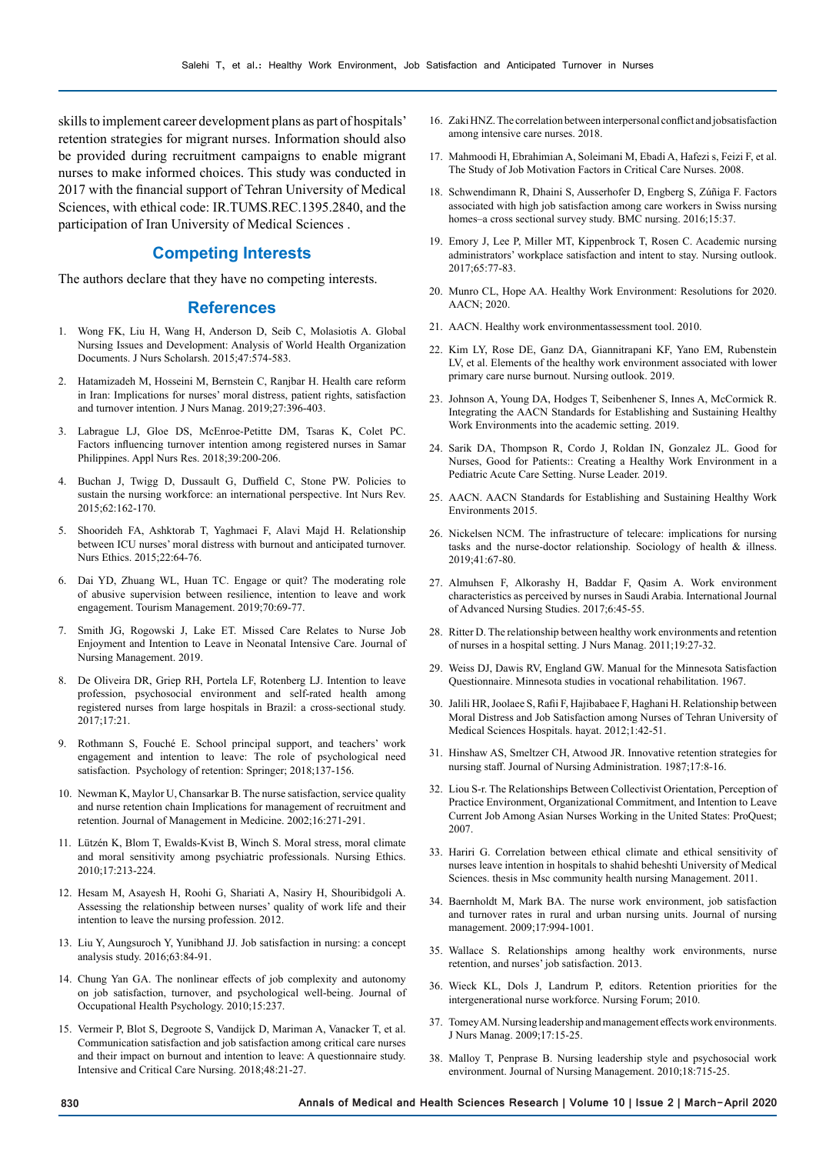skills to implement career development plans as part of hospitals' retention strategies for migrant nurses. Information should also be provided during recruitment campaigns to enable migrant nurses to make informed choices. This study was conducted in 2017 with the financial support of Tehran University of Medical Sciences, with ethical code: IR.TUMS.REC.1395.2840, and the participation of Iran University of Medical Sciences .

#### **Competing Interests**

The authors declare that they have no competing interests.

#### **References**

- 1. Wong FK, Liu H, Wang H, Anderson D, Seib C, Molasiotis A. Global Nursing Issues and Development: Analysis of World Health Organization Documents. J Nurs Scholarsh. 2015;47:574-583.
- 2. Hatamizadeh M, Hosseini M, Bernstein C, Ranjbar H. Health care reform in Iran: Implications for nurses' moral distress, patient rights, satisfaction and turnover intention. J Nurs Manag. 2019;27:396-403.
- 3. Labrague LJ, Gloe DS, McEnroe-Petitte DM, Tsaras K, Colet PC. Factors influencing turnover intention among registered nurses in Samar Philippines. Appl Nurs Res. 2018;39:200-206.
- 4. Buchan J, Twigg D, Dussault G, Duffield C, Stone PW. Policies to sustain the nursing workforce: an international perspective. Int Nurs Rev. 2015;62:162-170.
- 5. Shoorideh FA, Ashktorab T, Yaghmaei F, Alavi Majd H. Relationship between ICU nurses' moral distress with burnout and anticipated turnover. Nurs Ethics. 2015;22:64-76.
- 6. Dai YD, Zhuang WL, Huan TC. Engage or quit? The moderating role of abusive supervision between resilience, intention to leave and work engagement. Tourism Management. 2019;70:69-77.
- 7. Smith JG, Rogowski J, Lake ET. Missed Care Relates to Nurse Job Enjoyment and Intention to Leave in Neonatal Intensive Care. Journal of Nursing Management. 2019.
- 8. De Oliveira DR, Griep RH, Portela LF, Rotenberg LJ. Intention to leave profession, psychosocial environment and self-rated health among registered nurses from large hospitals in Brazil: a cross-sectional study. 2017;17:21.
- 9. Rothmann S, Fouché E. School principal support, and teachers' work engagement and intention to leave: The role of psychological need satisfaction. Psychology of retention: Springer; 2018;137-156.
- 10. Newman K, Maylor U, Chansarkar B. The nurse satisfaction, service quality and nurse retention chain Implications for management of recruitment and retention. Journal of Management in Medicine. 2002;16:271-291.
- 11. Lützén K, Blom T, Ewalds-Kvist B, Winch S. Moral stress, moral climate and moral sensitivity among psychiatric professionals. Nursing Ethics. 2010;17:213-224.
- 12. Hesam M, Asayesh H, Roohi G, Shariati A, Nasiry H, Shouribidgoli A. Assessing the relationship between nurses' quality of work life and their intention to leave the nursing profession. 2012.
- 13. Liu Y, Aungsuroch Y, Yunibhand JJ. Job satisfaction in nursing: a concept analysis study. 2016;63:84-91.
- 14. Chung Yan GA. The nonlinear effects of job complexity and autonomy on job satisfaction, turnover, and psychological well-being. Journal of Occupational Health Psychology. 2010;15:237.
- 15. Vermeir P, Blot S, Degroote S, Vandijck D, Mariman A, Vanacker T, et al. Communication satisfaction and job satisfaction among critical care nurses and their impact on burnout and intention to leave: A questionnaire study. Intensive and Critical Care Nursing. 2018;48:21-27.
- 16. Zaki HNZ. The correlation between interpersonal conflict and jobsatisfaction among intensive care nurses. 2018.
- 17. Mahmoodi H, Ebrahimian A, Soleimani M, Ebadi A, Hafezi s, Feizi F, et al. The Study of Job Motivation Factors in Critical Care Nurses. 2008.
- 18. Schwendimann R, Dhaini S, Ausserhofer D, Engberg S, Zúñiga F. Factors associated with high job satisfaction among care workers in Swiss nursing homes–a cross sectional survey study. BMC nursing. 2016;15:37.
- 19. Emory J, Lee P, Miller MT, Kippenbrock T, Rosen C. Academic nursing administrators' workplace satisfaction and intent to stay. Nursing outlook. 2017;65:77-83.
- 20. Munro CL, Hope AA. Healthy Work Environment: Resolutions for 2020. AACN; 2020.
- 21. AACN. Healthy work environmentassessment tool. 2010.
- 22. Kim LY, Rose DE, Ganz DA, Giannitrapani KF, Yano EM, Rubenstein LV, et al. Elements of the healthy work environment associated with lower primary care nurse burnout. Nursing outlook. 2019.
- 23. Johnson A, Young DA, Hodges T, Seibenhener S, Innes A, McCormick R. Integrating the AACN Standards for Establishing and Sustaining Healthy Work Environments into the academic setting. 2019.
- 24. Sarik DA, Thompson R, Cordo J, Roldan IN, Gonzalez JL. Good for Nurses, Good for Patients:: Creating a Healthy Work Environment in a Pediatric Acute Care Setting. Nurse Leader. 2019.
- 25. AACN. AACN Standards for Establishing and Sustaining Healthy Work Environments 2015.
- 26. Nickelsen NCM. The infrastructure of telecare: implications for nursing tasks and the nurse-doctor relationship. Sociology of health & illness. 2019;41:67-80.
- 27. Almuhsen F, Alkorashy H, Baddar F, Qasim A. Work environment characteristics as perceived by nurses in Saudi Arabia. International Journal of Advanced Nursing Studies. 2017;6:45-55.
- 28. Ritter D. The relationship between healthy work environments and retention of nurses in a hospital setting. J Nurs Manag. 2011;19:27-32.
- 29. Weiss DJ, Dawis RV, England GW. Manual for the Minnesota Satisfaction Questionnaire. Minnesota studies in vocational rehabilitation. 1967.
- 30. Jalili HR, Joolaee S, Rafii F, Hajibabaee F, Haghani H. Relationship between Moral Distress and Job Satisfaction among Nurses of Tehran University of Medical Sciences Hospitals. hayat. 2012;1:42-51.
- 31. Hinshaw AS, Smeltzer CH, Atwood JR. Innovative retention strategies for nursing staff. Journal of Nursing Administration. 1987;17:8-16.
- 32. Liou S-r. The Relationships Between Collectivist Orientation, Perception of Practice Environment, Organizational Commitment, and Intention to Leave Current Job Among Asian Nurses Working in the United States: ProQuest; 2007.
- 33. Hariri G. Correlation between ethical climate and ethical sensitivity of nurses leave intention in hospitals to shahid beheshti University of Medical Sciences. thesis in Msc community health nursing Management. 2011.
- 34. Baernholdt M, Mark BA. The nurse work environment, job satisfaction and turnover rates in rural and urban nursing units. Journal of nursing management. 2009;17:994-1001.
- 35. Wallace S. Relationships among healthy work environments, nurse retention, and nurses' job satisfaction. 2013.
- 36. Wieck KL, Dols J, Landrum P, editors. Retention priorities for the intergenerational nurse workforce. Nursing Forum; 2010.
- 37. Tomey AM. Nursing leadership and management effects work environments. J Nurs Manag. 2009;17:15-25.
- 38. Malloy T, Penprase B. Nursing leadership style and psychosocial work environment. Journal of Nursing Management. 2010;18:715-25.